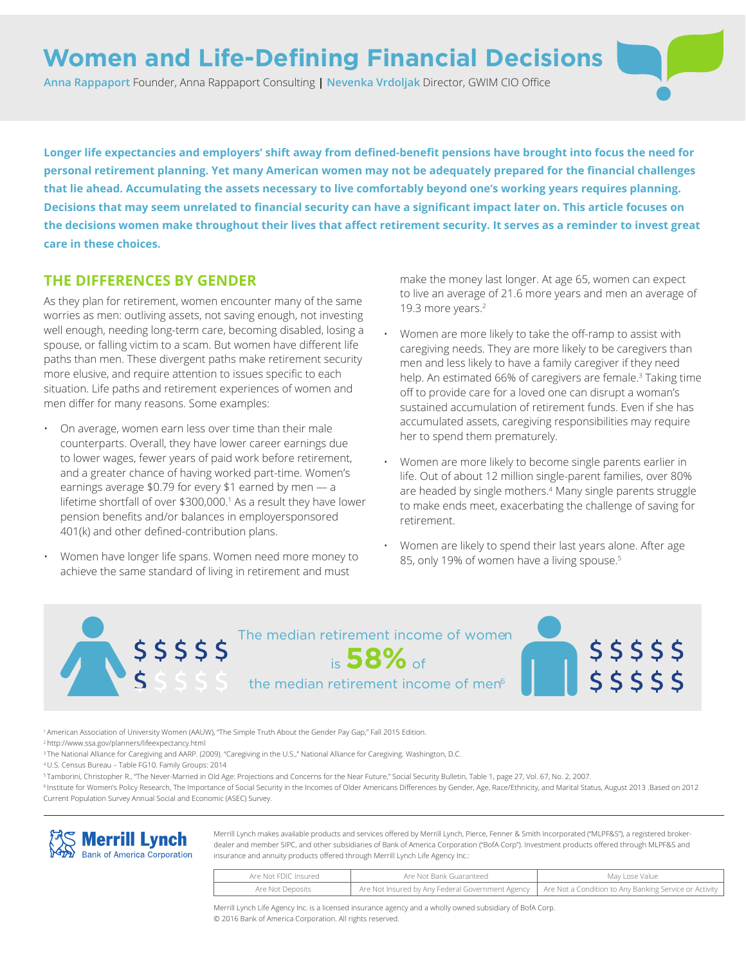# **Women and Life-Defining Financial Decisions**

**Anna Rappaport** Founder, Anna Rappaport Consulting **| Nevenka Vrdoljak** Director, GWIM CIO Office

**Longer life expectancies and employers' shift away from defined-benefit pensions have brought into focus the need for personal retirement planning. Yet many American women may not be adequately prepared for the financial challenges that lie ahead. Accumulating the assets necessary to live comfortably beyond one's working years requires planning. Decisions that may seem unrelated to financial security can have a significant impact later on. This article focuses on the decisions women make throughout their lives that affect retirement security. It serves as a reminder to invest great care in these choices.**

### **THE DIFFERENCES BY GENDER**

As they plan for retirement, women encounter many of the same worries as men: outliving assets, not saving enough, not investing well enough, needing long-term care, becoming disabled, losing a spouse, or falling victim to a scam. But women have different life paths than men. These divergent paths make retirement security more elusive, and require attention to issues specific to each situation. Life paths and retirement experiences of women and men differ for many reasons. Some examples:

- On average, women earn less over time than their male counterparts. Overall, they have lower career earnings due to lower wages, fewer years of paid work before retirement, and a greater chance of having worked part-time. Women's earnings average \$0.79 for every \$1 earned by men — a lifetime shortfall of over \$300,000.1 As a result they have lower pension benefits and/or balances in employersponsored 401(k) and other defined-contribution plans.
- Women have longer life spans. Women need more money to achieve the same standard of living in retirement and must

make the money last longer. At age 65, women can expect to live an average of 21.6 more years and men an average of 19.3 more years.<sup>2</sup>

- Women are more likely to take the off-ramp to assist with caregiving needs. They are more likely to be caregivers than men and less likely to have a family caregiver if they need help. An estimated 66% of caregivers are female.<sup>3</sup> Taking time off to provide care for a loved one can disrupt a woman's sustained accumulation of retirement funds. Even if she has accumulated assets, caregiving responsibilities may require her to spend them prematurely.
- Women are more likely to become single parents earlier in life. Out of about 12 million single-parent families, over 80% are headed by single mothers.4 Many single parents struggle to make ends meet, exacerbating the challenge of saving for retirement.
- Women are likely to spend their last years alone. After age 85, only 19% of women have a living spouse.<sup>5</sup>



<sup>1</sup>American Association of University Women (AAUW), "The Simple Truth About the Gender Pay Gap," Fall 2015 Edition.

<sup>2</sup>http://www.ssa.gov/planners/lifeexpectancy.html

<sup>3</sup>The National Alliance for Caregiving and AARP. (2009). "Caregiving in the U.S.," National Alliance for Caregiving. Washington, D.C.

<sup>4</sup>U.S. Census Bureau – Table FG10. Family Groups: 2014

<sup>5</sup>Tamborini, Christopher R., "The Never-Married in Old Age: Projections and Concerns for the Near Future," Social Security Bulletin, Table 1, page 27, Vol. 67, No. 2, 2007.

<sup>6</sup>Institute for Women's Policy Research, The Importance of Social Security in the Incomes of Older Americans Differences by Gender, Age, Race/Ethnicity, and Marital Status, August 2013 .Based on 2012 Current Population Survey Annual Social and Economic (ASEC) Survey.



Merrill Lynch makes available products and services offered by Merrill Lynch, Pierce, Fenner & Smith Incorporated ("MLPF&S"), a registered brokerdealer and member SIPC, and other subsidiaries of Bank of America Corporation ("BofA Corp"). Investment products offered through MLPF&S and insurance and annuity products offered through Merrill Lynch Life Agency Inc.:

| Are Not FDIC Insured | Are Not Bank Guaranteed | May Lose Value                                                                                            |  |
|----------------------|-------------------------|-----------------------------------------------------------------------------------------------------------|--|
| Are Not Deposits     |                         | Are Not Insured by Any Federal Government Agency   Are Not a Condition to Any Banking Service or Activity |  |

Merrill Lynch Life Agency Inc. is a licensed insurance agency and a wholly owned subsidiary of BofA Corp. © 2016 Bank of America Corporation. All rights reserved.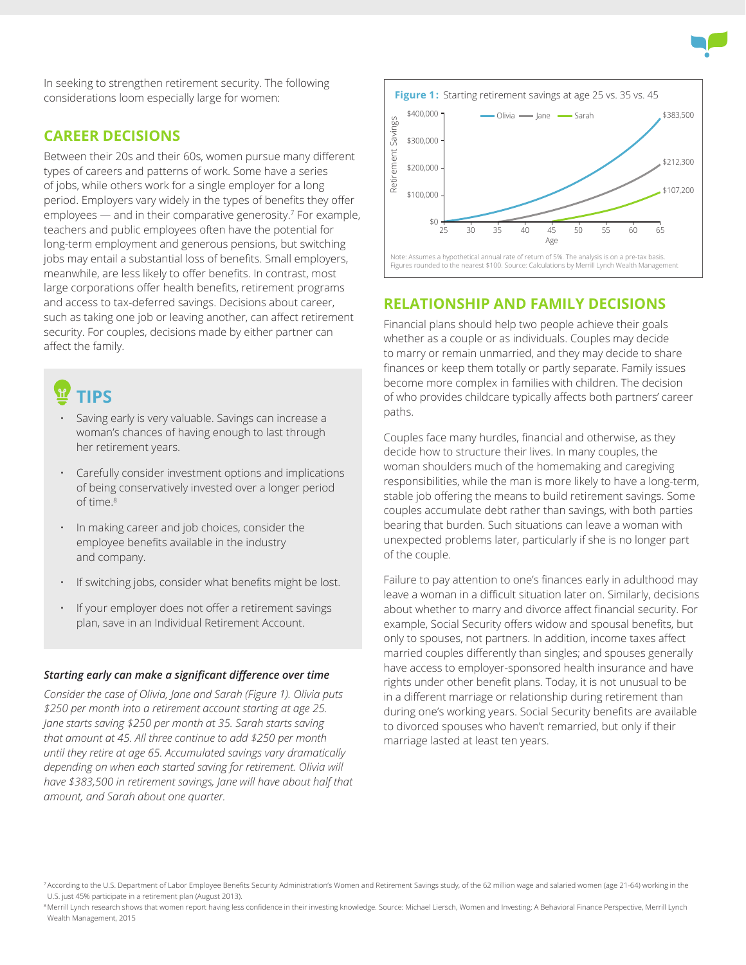

In seeking to strengthen retirement security. The following considerations loom especially large for women:

#### **CAREER DECISIONS**

Between their 20s and their 60s, women pursue many different types of careers and patterns of work. Some have a series of jobs, while others work for a single employer for a long period. Employers vary widely in the types of benefits they offer employees — and in their comparative generosity.7 For example, teachers and public employees often have the potential for long-term employment and generous pensions, but switching jobs may entail a substantial loss of benefits. Small employers, meanwhile, are less likely to offer benefits. In contrast, most large corporations offer health benefits, retirement programs and access to tax-deferred savings. Decisions about career, such as taking one job or leaving another, can affect retirement security. For couples, decisions made by either partner can affect the family.

# **TIPS**

- Saving early is very valuable. Savings can increase a woman's chances of having enough to last through her retirement years.
- Carefully consider investment options and implications of being conservatively invested over a longer period of time.<sup>8</sup>
- In making career and job choices, consider the employee benefits available in the industry and company.
- If switching jobs, consider what benefits might be lost.
- If your employer does not offer a retirement savings plan, save in an Individual Retirement Account.

#### *Starting early can make a significant difference over time*

*Consider the case of Olivia, Jane and Sarah (Figure 1). Olivia puts \$250 per month into a retirement account starting at age 25. Jane starts saving \$250 per month at 35. Sarah starts saving that amount at 45. All three continue to add \$250 per month until they retire at age 65. Accumulated savings vary dramatically depending on when each started saving for retirement. Olivia will have \$383,500 in retirement savings, Jane will have about half that amount, and Sarah about one quarter.*



Note: Assumes a hypothetical annual rate of return of 5%. The analysis is on a pre-tax basis. Figures rounded to the nearest \$100. Source: Calculations by Merrill Lynch Wealth Management

### **RELATIONSHIP AND FAMILY DECISIONS**

Financial plans should help two people achieve their goals whether as a couple or as individuals. Couples may decide to marry or remain unmarried, and they may decide to share finances or keep them totally or partly separate. Family issues become more complex in families with children. The decision of who provides childcare typically affects both partners' career paths.

Couples face many hurdles, financial and otherwise, as they decide how to structure their lives. In many couples, the woman shoulders much of the homemaking and caregiving responsibilities, while the man is more likely to have a long-term, stable job offering the means to build retirement savings. Some couples accumulate debt rather than savings, with both parties bearing that burden. Such situations can leave a woman with unexpected problems later, particularly if she is no longer part of the couple.

Failure to pay attention to one's finances early in adulthood may leave a woman in a difficult situation later on. Similarly, decisions about whether to marry and divorce affect financial security. For example, Social Security offers widow and spousal benefits, but only to spouses, not partners. In addition, income taxes affect married couples differently than singles; and spouses generally have access to employer-sponsored health insurance and have rights under other benefit plans. Today, it is not unusual to be in a different marriage or relationship during retirement than during one's working years. Social Security benefits are available to divorced spouses who haven't remarried, but only if their marriage lasted at least ten years.

<sup>7</sup>According to the U.S. Department of Labor Employee Benefits Security Administration's Women and Retirement Savings study, of the 62 million wage and salaried women (age 21-64) working in the U.S. just 45% participate in a retirement plan (August 2013).

Merrill Lynch research shows that women report having less confidence in their investing knowledge. Source: Michael Liersch, Women and Investing: A Behavioral Finance Perspective, Merrill Lynch Wealth Management, 2015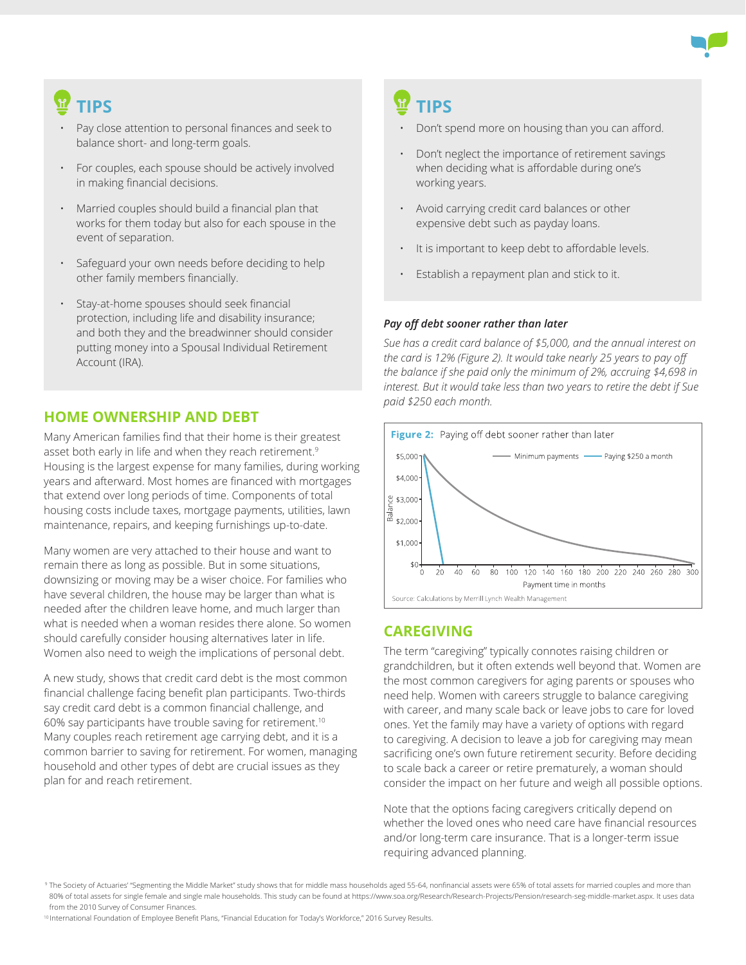

# **TIPS**

- Pay close attention to personal finances and seek to balance short- and long-term goals.
- For couples, each spouse should be actively involved in making financial decisions.
- Married couples should build a financial plan that works for them today but also for each spouse in the event of separation.
- Safeguard your own needs before deciding to help other family members financially.
- Stay-at-home spouses should seek financial protection, including life and disability insurance; and both they and the breadwinner should consider putting money into a Spousal Individual Retirement Account (IRA).

### **HOME OWNERSHIP AND DEBT**

Many American families find that their home is their greatest asset both early in life and when they reach retirement.<sup>9</sup> Housing is the largest expense for many families, during working years and afterward. Most homes are financed with mortgages that extend over long periods of time. Components of total housing costs include taxes, mortgage payments, utilities, lawn maintenance, repairs, and keeping furnishings up-to-date.

Many women are very attached to their house and want to remain there as long as possible. But in some situations, downsizing or moving may be a wiser choice. For families who have several children, the house may be larger than what is needed after the children leave home, and much larger than what is needed when a woman resides there alone. So women should carefully consider housing alternatives later in life. Women also need to weigh the implications of personal debt.

A new study, shows that credit card debt is the most common financial challenge facing benefit plan participants. Two-thirds say credit card debt is a common financial challenge, and 60% say participants have trouble saving for retirement.10 Many couples reach retirement age carrying debt, and it is a common barrier to saving for retirement. For women, managing household and other types of debt are crucial issues as they plan for and reach retirement.

# **TIPS**

- Don't spend more on housing than you can afford.
- Don't neglect the importance of retirement savings when deciding what is affordable during one's working years.
- Avoid carrying credit card balances or other expensive debt such as payday loans.
- It is important to keep debt to affordable levels.
- Establish a repayment plan and stick to it.

#### *Pay off debt sooner rather than later*

*Sue has a credit card balance of \$5,000, and the annual interest on the card is 12% (Figure 2). It would take nearly 25 years to pay off the balance if she paid only the minimum of 2%, accruing \$4,698 in interest. But it would take less than two years to retire the debt if Sue paid \$250 each month.*



## **CAREGIVING**

The term "caregiving" typically connotes raising children or grandchildren, but it often extends well beyond that. Women are the most common caregivers for aging parents or spouses who need help. Women with careers struggle to balance caregiving with career, and many scale back or leave jobs to care for loved ones. Yet the family may have a variety of options with regard to caregiving. A decision to leave a job for caregiving may mean sacrificing one's own future retirement security. Before deciding to scale back a career or retire prematurely, a woman should consider the impact on her future and weigh all possible options.

Note that the options facing caregivers critically depend on whether the loved ones who need care have financial resources and/or long-term care insurance. That is a longer-term issue requiring advanced planning.

<sup>10</sup> International Foundation of Employee Benefit Plans, "Financial Education for Today's Workforce," 2016 Survey Results.

<sup>&</sup>lt;sup>9</sup> The Society of Actuaries' "Segmenting the Middle Market" study shows that for middle mass households aged 55-64, nonfinancial assets were 65% of total assets for married couples and more than 80% of total assets for single female and single male households. This study can be found at https://www.soa.org/Research/Research-Projects/Pension/research-seg-middle-market.aspx. It uses data from the 2010 Survey of Consumer Finances.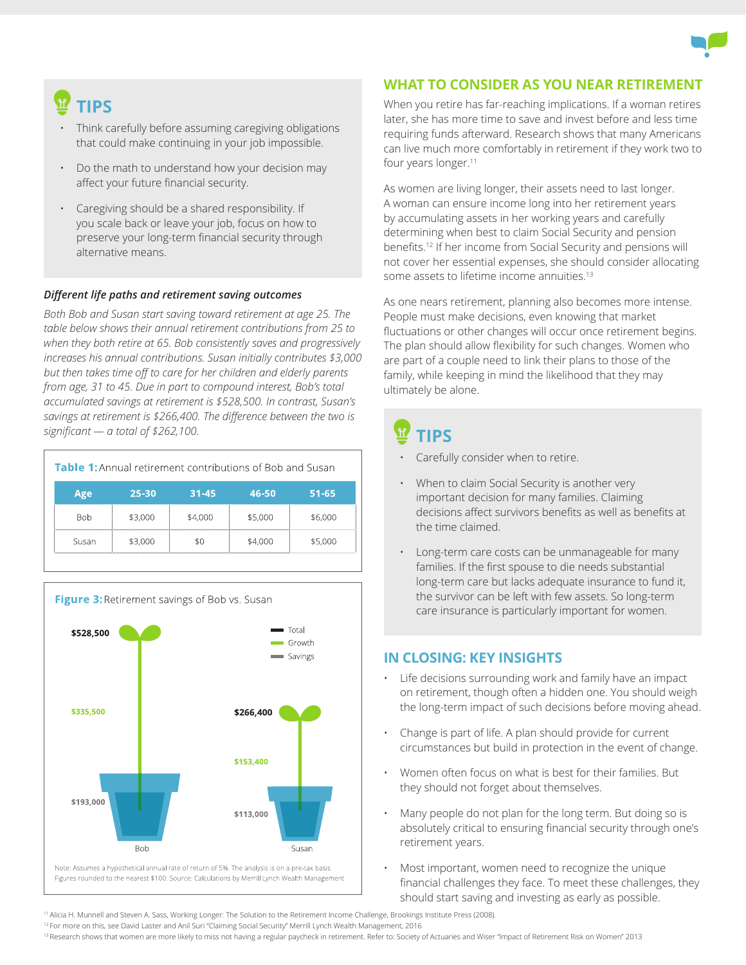

# **TIPS**

- Think carefully before assuming caregiving obligations that could make continuing in your job impossible.
- Do the math to understand how your decision may affect your future financial security.
- Caregiving should be a shared responsibility. If you scale back or leave your job, focus on how to preserve your long-term financial security through alternative means.

#### *Different life paths and retirement saving outcomes*

*Both Bob and Susan start saving toward retirement at age 25. The table below shows their annual retirement contributions from 25 to when they both retire at 65. Bob consistently saves and progressively increases his annual contributions. Susan initially contributes \$3,000 but then takes time off to care for her children and elderly parents from age, 31 to 45. Due in part to compound interest, Bob's total accumulated savings at retirement is \$528,500. In contrast, Susan's savings at retirement is \$266,400. The difference between the two is significant — a total of \$262,100.*

| <b>Table 1:</b> Annual retirement contributions of Bob and Susan |         |           |         |           |
|------------------------------------------------------------------|---------|-----------|---------|-----------|
| Age                                                              | 25-30   | $31 - 45$ | 46-50   | $51 - 65$ |
| <b>Bob</b>                                                       | \$3,000 | \$4,000   | \$5,000 | \$6,000   |
| Susan                                                            | \$3,000 | \$0       | \$4,000 | \$5,000   |



#### **WHAT TO CONSIDER AS YOU NEAR RETIREMENT**

When you retire has far-reaching implications. If a woman retires later, she has more time to save and invest before and less time requiring funds afterward. Research shows that many Americans can live much more comfortably in retirement if they work two to four years longer.<sup>11</sup>

As women are living longer, their assets need to last longer. A woman can ensure income long into her retirement years by accumulating assets in her working years and carefully determining when best to claim Social Security and pension benefits.<sup>12</sup> If her income from Social Security and pensions will not cover her essential expenses, she should consider allocating some assets to lifetime income annuities.<sup>13</sup>

As one nears retirement, planning also becomes more intense. People must make decisions, even knowing that market fluctuations or other changes will occur once retirement begins. The plan should allow flexibility for such changes. Women who are part of a couple need to link their plans to those of the family, while keeping in mind the likelihood that they may ultimately be alone.

# **TIPS**

- Carefully consider when to retire.
- When to claim Social Security is another very important decision for many families. Claiming decisions affect survivors benefits as well as benefits at the time claimed.
- Long-term care costs can be unmanageable for many families. If the first spouse to die needs substantial long-term care but lacks adequate insurance to fund it, the survivor can be left with few assets. So long-term care insurance is particularly important for women.

#### **IN CLOSING: KEY INSIGHTS**

- Life decisions surrounding work and family have an impact on retirement, though often a hidden one. You should weigh the long-term impact of such decisions before moving ahead.
- Change is part of life. A plan should provide for current circumstances but build in protection in the event of change.
- Women often focus on what is best for their families. But they should not forget about themselves.
- Many people do not plan for the long term. But doing so is absolutely critical to ensuring financial security through one's retirement years.
- Most important, women need to recognize the unique financial challenges they face. To meet these challenges, they should start saving and investing as early as possible.

<sup>11</sup>Alicia H. Munnell and Steven A. Sass, Working Longer: The Solution to the Retirement Income Challenge, Brookings Institute Press (2008).

<sup>12</sup> For more on this, see David Laster and Anil Suri "Claiming Social Security" Merrill Lynch Wealth Management, 2016

13 Research shows that women are more likely to miss not having a regular paycheck in retirement. Refer to: Society of Actuaries and Wiser "Impact of Retirement Risk on Women" 2013